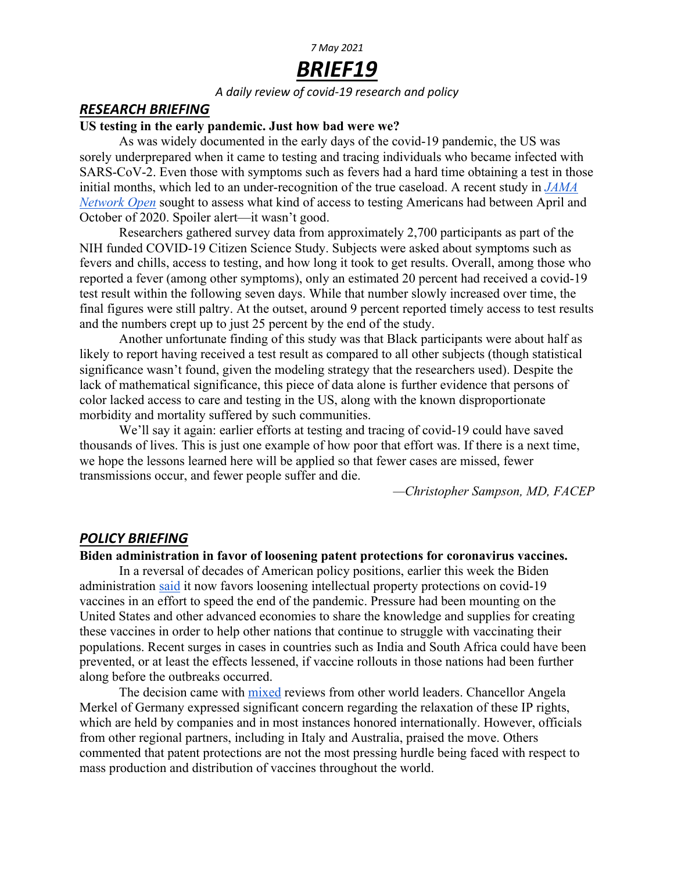## *7 May 2021*

# *BRIEF19*

#### *A daily review of covid-19 research and policy*

#### *RESEARCH BRIEFING*

#### **US testing in the early pandemic. Just how bad were we?**

As was widely documented in the early days of the covid-19 pandemic, the US was sorely underprepared when it came to testing and tracing individuals who became infected with SARS-CoV-2. Even those with symptoms such as fevers had a hard time obtaining a test in those initial months, which led to an under-recognition of the true caseload. A recent study in *JAMA Network Open* sought to assess what kind of access to testing Americans had between April and October of 2020. Spoiler alert—it wasn't good.

Researchers gathered survey data from approximately 2,700 participants as part of the NIH funded COVID-19 Citizen Science Study. Subjects were asked about symptoms such as fevers and chills, access to testing, and how long it took to get results. Overall, among those who reported a fever (among other symptoms), only an estimated 20 percent had received a covid-19 test result within the following seven days. While that number slowly increased over time, the final figures were still paltry. At the outset, around 9 percent reported timely access to test results and the numbers crept up to just 25 percent by the end of the study.

Another unfortunate finding of this study was that Black participants were about half as likely to report having received a test result as compared to all other subjects (though statistical significance wasn't found, given the modeling strategy that the researchers used). Despite the lack of mathematical significance, this piece of data alone is further evidence that persons of color lacked access to care and testing in the US, along with the known disproportionate morbidity and mortality suffered by such communities.

We'll say it again: earlier efforts at testing and tracing of covid-19 could have saved thousands of lives. This is just one example of how poor that effort was. If there is a next time, we hope the lessons learned here will be applied so that fewer cases are missed, fewer transmissions occur, and fewer people suffer and die.

*—Christopher Sampson, MD, FACEP*

### *POLICY BRIEFING*

#### **Biden administration in favor of loosening patent protections for coronavirus vaccines.**

In a reversal of decades of American policy positions, earlier this week the Biden administration said it now favors loosening intellectual property protections on covid-19 vaccines in an effort to speed the end of the pandemic. Pressure had been mounting on the United States and other advanced economies to share the knowledge and supplies for creating these vaccines in order to help other nations that continue to struggle with vaccinating their populations. Recent surges in cases in countries such as India and South Africa could have been prevented, or at least the effects lessened, if vaccine rollouts in those nations had been further along before the outbreaks occurred.

The decision came with mixed reviews from other world leaders. Chancellor Angela Merkel of Germany expressed significant concern regarding the relaxation of these IP rights, which are held by companies and in most instances honored internationally. However, officials from other regional partners, including in Italy and Australia, praised the move. Others commented that patent protections are not the most pressing hurdle being faced with respect to mass production and distribution of vaccines throughout the world.